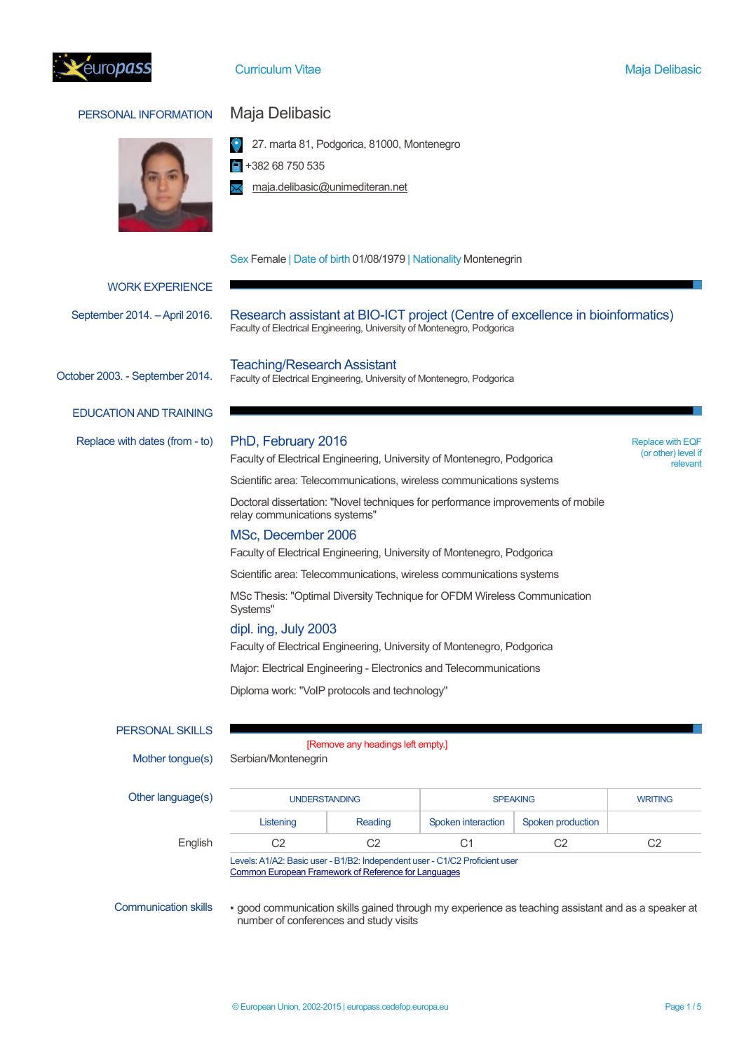

## Curriculum Vitae Maja Delibasic Curriculum Vitae Maja Delibasic

# PERSONAL INFORMATION Maja Delibasic



 $\frac{1}{2}$  +382 68 750 535

**X** maja.delibasic@unimediteran.net

## Sex Female | Date of birth 01/08/1979 | Nationality Montenegrin

|                                 |                                                                                                                                                                                                                                                                                                                                                        | $\frac{1}{2}$                     |                    |                   |                |  |
|---------------------------------|--------------------------------------------------------------------------------------------------------------------------------------------------------------------------------------------------------------------------------------------------------------------------------------------------------------------------------------------------------|-----------------------------------|--------------------|-------------------|----------------|--|
| <b>WORK EXPERIENCE</b>          |                                                                                                                                                                                                                                                                                                                                                        |                                   |                    |                   |                |  |
| September 2014. - April 2016.   | Research assistant at BIO-ICT project (Centre of excellence in bioinformatics)<br>Faculty of Electrical Engineering, University of Montenegro, Podgorica                                                                                                                                                                                               |                                   |                    |                   |                |  |
| October 2003. - September 2014. | <b>Teaching/Research Assistant</b><br>Faculty of Electrical Engineering, University of Montenegro, Podgorica                                                                                                                                                                                                                                           |                                   |                    |                   |                |  |
| <b>EDUCATION AND TRAINING</b>   |                                                                                                                                                                                                                                                                                                                                                        |                                   |                    |                   |                |  |
| Replace with dates (from - to)  | PhD, February 2016<br><b>Replace with EQF</b><br>(or other) level if<br>Faculty of Electrical Engineering, University of Montenegro, Podgorica<br>relevant<br>Scientific area: Telecommunications, wireless communications systems<br>Doctoral dissertation: "Novel techniques for performance improvements of mobile<br>relay communications systems" |                                   |                    |                   |                |  |
|                                 | MSc, December 2006<br>Faculty of Electrical Engineering, University of Montenegro, Podgorica                                                                                                                                                                                                                                                           |                                   |                    |                   |                |  |
|                                 | Scientific area: Telecommunications, wireless communications systems                                                                                                                                                                                                                                                                                   |                                   |                    |                   |                |  |
|                                 | MSc Thesis: "Optimal Diversity Technique for OFDM Wireless Communication<br>Systems"                                                                                                                                                                                                                                                                   |                                   |                    |                   |                |  |
|                                 | dipl. ing, July 2003<br>Faculty of Electrical Engineering, University of Montenegro, Podgorica                                                                                                                                                                                                                                                         |                                   |                    |                   |                |  |
|                                 | Major: Electrical Engineering - Electronics and Telecommunications                                                                                                                                                                                                                                                                                     |                                   |                    |                   |                |  |
|                                 | Diploma work: "VoIP protocols and technology"                                                                                                                                                                                                                                                                                                          |                                   |                    |                   |                |  |
| <b>PERSONAL SKILLS</b>          |                                                                                                                                                                                                                                                                                                                                                        |                                   |                    |                   |                |  |
| Mother tongue(s)                | Serbian/Montenegrin                                                                                                                                                                                                                                                                                                                                    | [Remove any headings left empty.] |                    |                   |                |  |
| Other language(s)               | <b>UNDERSTANDING</b>                                                                                                                                                                                                                                                                                                                                   |                                   | <b>SPEAKING</b>    |                   | <b>WRITING</b> |  |
|                                 | Listening                                                                                                                                                                                                                                                                                                                                              | Reading                           | Spoken interaction | Spoken production |                |  |
| English                         | C <sub>2</sub>                                                                                                                                                                                                                                                                                                                                         | C <sub>2</sub>                    | C <sub>1</sub>     | C <sub>2</sub>    | C <sub>2</sub> |  |
|                                 | Levels: A1/A2: Basic user - B1/B2: Independent user - C1/C2 Proficient user<br>Common European Framework of Reference for Languages                                                                                                                                                                                                                    |                                   |                    |                   |                |  |

Communication skills • good communication skills gained through my experience as teaching assistant and as a speaker at number of conferences and study visits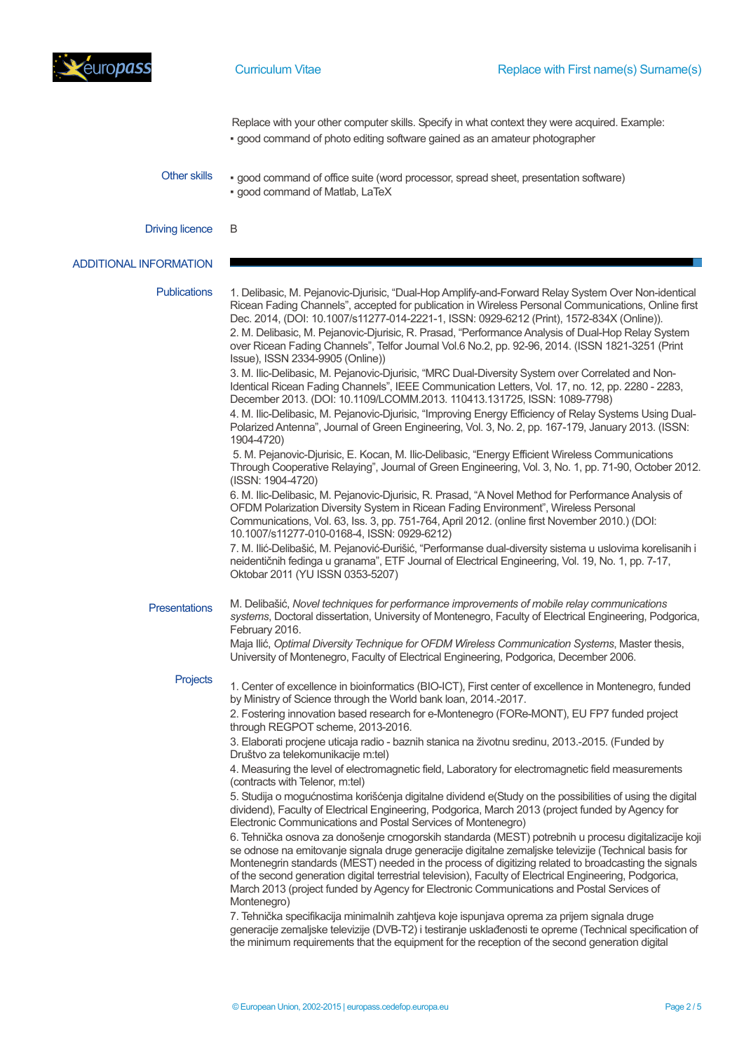

Replace with your other computer skills. Specify in what context they were acquired. Example: ▪ good command of photo editing software gained as an amateur photographer

Other skills • good command of office suite (word processor, spread sheet, presentation software) ▪ good command of Matlab, LaTeX

Driving licence B

## ADDITIONAL INFORMATION

| 1. Delibasic, M. Pejanovic-Djurisic, "Dual-Hop Amplify-and-Forward Relay System Over Non-identical<br>Ricean Fading Channels", accepted for publication in Wireless Personal Communications, Online first                                                                                                                                                                                                                                                                                                                                                                                                                                                                                                                                                                                                                                                                                                                                                                                                                                                                  |
|----------------------------------------------------------------------------------------------------------------------------------------------------------------------------------------------------------------------------------------------------------------------------------------------------------------------------------------------------------------------------------------------------------------------------------------------------------------------------------------------------------------------------------------------------------------------------------------------------------------------------------------------------------------------------------------------------------------------------------------------------------------------------------------------------------------------------------------------------------------------------------------------------------------------------------------------------------------------------------------------------------------------------------------------------------------------------|
| 2. M. Delibasic, M. Pejanovic-Djurisic, R. Prasad, "Performance Analysis of Dual-Hop Relay System<br>over Ricean Fading Channels", Telfor Journal Vol.6 No.2, pp. 92-96, 2014. (ISSN 1821-3251 (Print<br>Identical Ricean Fading Channels", IEEE Communication Letters, Vol. 17, no. 12, pp. 2280 - 2283,<br>4. M. Ilic-Delibasic, M. Pejanovic-Djurisic, "Improving Energy Efficiency of Relay Systems Using Dual-<br>Polarized Antenna", Journal of Green Engineering, Vol. 3, No. 2, pp. 167-179, January 2013. (ISSN:<br>Through Cooperative Relaying", Journal of Green Engineering, Vol. 3, No. 1, pp. 71-90, October 2012.                                                                                                                                                                                                                                                                                                                                                                                                                                          |
| 6. M. Ilic-Delibasic, M. Pejanovic-Djurisic, R. Prasad, "A Novel Method for Performance Analysis of                                                                                                                                                                                                                                                                                                                                                                                                                                                                                                                                                                                                                                                                                                                                                                                                                                                                                                                                                                        |
| 7. M. Ilić-Delibašić, M. Pejanović-Đurišić, "Performanse dual-diversity sistema u uslovima korelisanih i                                                                                                                                                                                                                                                                                                                                                                                                                                                                                                                                                                                                                                                                                                                                                                                                                                                                                                                                                                   |
| systems, Doctoral dissertation, University of Montenegro, Faculty of Electrical Engineering, Podgorica,<br>Maja Ilić, Optimal Diversity Technique for OFDM Wireless Communication Systems, Master thesis,                                                                                                                                                                                                                                                                                                                                                                                                                                                                                                                                                                                                                                                                                                                                                                                                                                                                  |
| 1. Center of excellence in bioinformatics (BIO-ICT), First center of excellence in Montenegro, funded<br>2. Fostering innovation based research for e-Montenegro (FORe-MONT), EU FP7 funded project<br>4. Measuring the level of electromagnetic field, Laboratory for electromagnetic field measurements<br>5. Studija o mogućnostima korišćenja digitalne dividend e(Study on the possibilities of using the digital<br>dividend), Faculty of Electrical Engineering, Podgorica, March 2013 (project funded by Agency for<br>6. Tehnička osnova za donošenje crnogorskih standarda (MEST) potrebnih u procesu digitalizacije koji<br>se odnose na emitovanje signala druge generacije digitalne zemaljske televizije (Technical basis for<br>Montenegrin standards (MEST) needed in the process of digitizing related to broadcasting the signals<br>of the second generation digital terrestrial television), Faculty of Electrical Engineering, Podgorica,<br>generacije zemaljske televizije (DVB-T2) i testiranje usklađenosti te opreme (Technical specification of |
|                                                                                                                                                                                                                                                                                                                                                                                                                                                                                                                                                                                                                                                                                                                                                                                                                                                                                                                                                                                                                                                                            |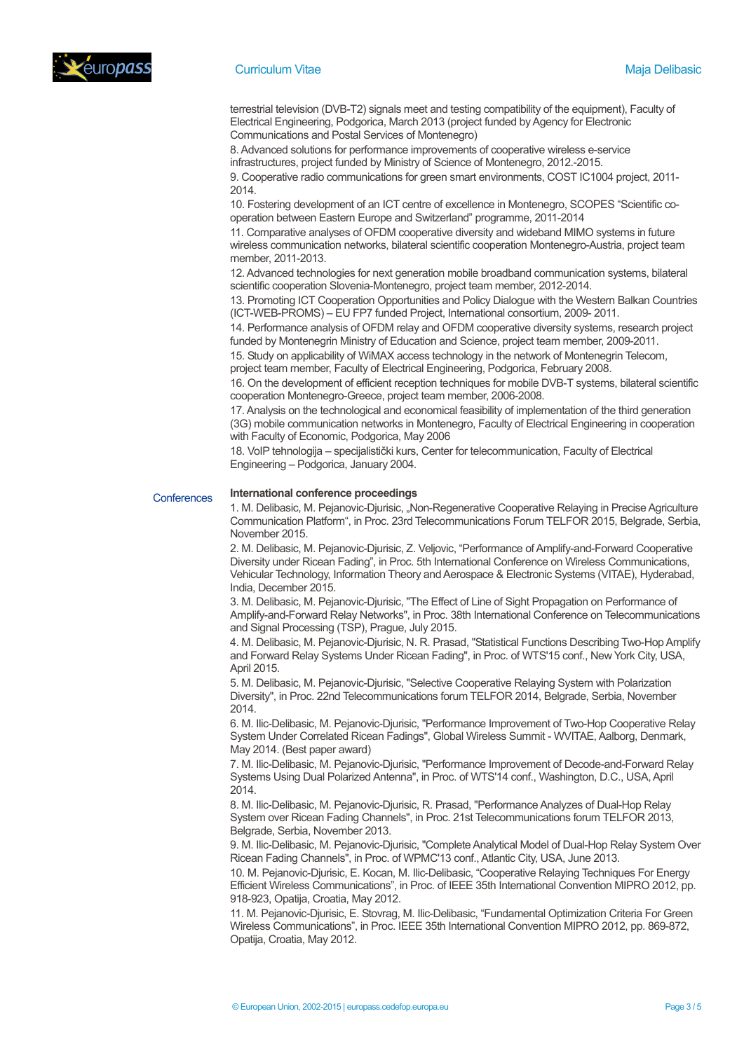

## **Curriculum Vitae Maja Delibasic** Maja Delibasic Maja Delibasic Maja Delibasic Maja Delibasic

terrestrial television (DVB-T2) signals meet and testing compatibility of the equipment), Faculty of Electrical Engineering, Podgorica, March 2013 (project funded by Agency for Electronic Communications and Postal Services of Montenegro)

8. Advanced solutions for performance improvements of cooperative wireless e-service infrastructures, project funded by Ministry of Science of Montenegro, 2012.-2015.

9. Cooperative radio communications for green smart environments, COST IC1004 project, 2011- 2014.

10. Fostering development of an ICT centre of excellence in Montenegro, SCOPES "Scientific cooperation between Eastern Europe and Switzerland" programme, 2011-2014

11. Comparative analyses of OFDM cooperative diversity and wideband MIMO systems in future wireless communication networks, bilateral scientific cooperation Montenegro-Austria, project team member, 2011-2013.

12. Advanced technologies for next generation mobile broadband communication systems, bilateral scientific cooperation Slovenia-Montenegro, project team member, 2012-2014.

13. Promoting ICT Cooperation Opportunities and Policy Dialogue with the Western Balkan Countries (ICT-WEB-PROMS) – EU FP7 funded Project, International consortium, 2009- 2011.

14. Performance analysis of OFDM relay and OFDM cooperative diversity systems, research project funded by Montenegrin Ministry of Education and Science, project team member, 2009-2011.

15. Study on applicability of WiMAX access technology in the network of Montenegrin Telecom, project team member, Faculty of Electrical Engineering, Podgorica, February 2008.

16. On the development of efficient reception techniques for mobile DVB-T systems, bilateral scientific cooperation Montenegro-Greece, project team member, 2006-2008.

17.Analysis on the technological and economical feasibility of implementation of the third generation (3G) mobile communication networks in Montenegro, Faculty of Electrical Engineering in cooperation with Faculty of Economic, Podgorica, May 2006

18. VoIP tehnologija – specijalistički kurs, Center for telecommunication, Faculty of Electrical Engineering – Podgorica, January 2004.

### **Conferences**

1. M. Delibasic, M. Pejanovic-Djurisic, "Non-Regenerative Cooperative Relaying in Precise Agriculture Communication Platform", in Proc. 23rd Telecommunications Forum TELFOR 2015, Belgrade, Serbia, November 2015.

2. M. Delibasic, M. Pejanovic-Djurisic, Z. Veljovic, "Performance of Amplify-and-Forward Cooperative Diversity under Ricean Fading", in Proc. 5th International Conference on Wireless Communications, Vehicular Technology, Information Theory and Aerospace & Electronic Systems (VITAE), Hyderabad, India, December 2015.

3. M. Delibasic, M. Pejanovic-Djurisic, "The Effect of Line of Sight Propagation on Performance of Amplify-and-Forward Relay Networks", in Proc. 38th International Conference on Telecommunications and Signal Processing (TSP), Prague, July 2015.

4. M. Delibasic, M. Pejanovic-Djurisic, N. R. Prasad, "Statistical Functions Describing Two-Hop Amplify and Forward Relay Systems Under Ricean Fading", in Proc. of WTS'15 conf., New York City, USA, April 2015.

5. M. Delibasic, M. Pejanovic-Djurisic, "Selective Cooperative Relaying System with Polarization Diversity", in Proc. 22nd Telecommunications forum TELFOR 2014, Belgrade, Serbia, November 2014.

6. M. Ilic-Delibasic, M. Pejanovic-Djurisic, "Performance Improvement of Two-Hop Cooperative Relay System Under Correlated Ricean Fadings", Global Wireless Summit - WVITAE, Aalborg, Denmark, May 2014. (Best paper award)

7. M. Ilic-Delibasic, M. Pejanovic-Djurisic, "Performance Improvement of Decode-and-Forward Relay Systems Using Dual Polarized Antenna", in Proc. of WTS'14 conf., Washington, D.C., USA, April 2014.

8. M. Ilic-Delibasic, M. Pejanovic-Djurisic, R. Prasad, "Performance Analyzes of Dual-Hop Relay System over Ricean Fading Channels", in Proc. 21st Telecommunications forum TELFOR 2013, Belgrade, Serbia, November 2013.

9. M. Ilic-Delibasic, M. Pejanovic-Djurisic, "Complete Analytical Model of Dual-Hop Relay System Over Ricean Fading Channels", in Proc. of WPMC'13 conf., Atlantic City, USA, June 2013.

10. M. Pejanovic-Djurisic, E. Kocan, M. Ilic-Delibasic, "Cooperative Relaying Techniques For Energy Efficient Wireless Communications", in Proc. of IEEE 35th International Convention MIPRO 2012, pp. 918-923, Opatija, Croatia, May 2012.

11. M. Pejanovic-Djurisic, E. Stovrag, M. Ilic-Delibasic, "Fundamental Optimization Criteria For Green Wireless Communications", in Proc. IEEE 35th International Convention MIPRO 2012, pp. 869-872, Opatija, Croatia, May 2012.

**International conference proceedings**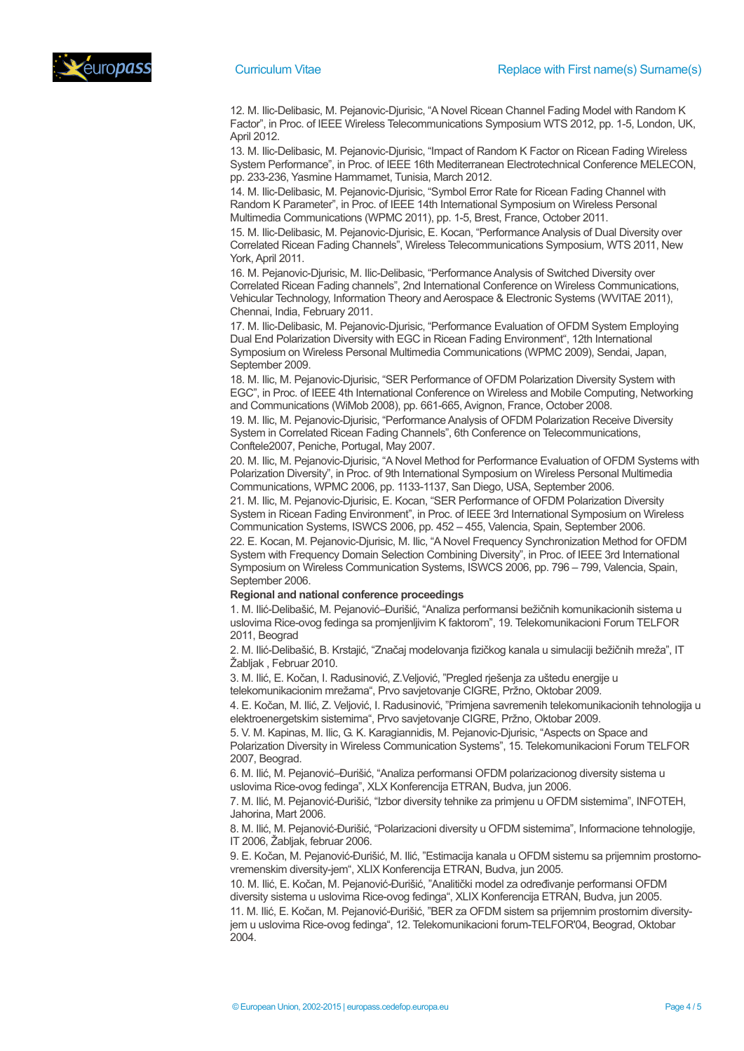



12. M. Ilic-Delibasic, M. Pejanovic-Djurisic, "A Novel Ricean Channel Fading Model with Random K Factor", in Proc. of IEEE Wireless Telecommunications Symposium WTS 2012, pp. 1-5, London, UK, April 2012.

13. M. Ilic-Delibasic, M. Pejanovic-Djurisic, "Impact of Random K Factor on Ricean Fading Wireless System Performance", in Proc. of IEEE 16th Mediterranean Electrotechnical Conference MELECON, pp. 233-236, Yasmine Hammamet, Tunisia, March 2012.

14. M. Ilic-Delibasic, M. Pejanovic-Djurisic, "Symbol Error Rate for Ricean Fading Channel with Random K Parameter", in Proc. of IEEE 14th International Symposium on Wireless Personal Multimedia Communications (WPMC 2011), pp. 1-5, Brest, France, October 2011.

15. M. Ilic-Delibasic, M. Pejanovic-Djurisic, E. Kocan, "Performance Analysis of Dual Diversity over Correlated Ricean Fading Channels", Wireless Telecommunications Symposium, WTS 2011, New York, April 2011.

16. M. Pejanovic-Djurisic, M. Ilic-Delibasic, "Performance Analysis of Switched Diversity over Correlated Ricean Fading channels", 2nd International Conference on Wireless Communications, Vehicular Technology, Information Theory and Aerospace & Electronic Systems (WVITAE 2011), Chennai, India, February 2011.

17. M. Ilic-Delibasic, M. Pejanovic-Djurisic, "Performance Evaluation of OFDM System Employing Dual End Polarization Diversity with EGC in Ricean Fading Environment", 12th International Symposium on Wireless Personal Multimedia Communications (WPMC 2009), Sendai, Japan, September 2009.

18. M. Ilic, M. Pejanovic-Djurisic, "SER Performance of OFDM Polarization Diversity System with EGC", in Proc. of IEEE 4th International Conference on Wireless and Mobile Computing, Networking and Communications (WiMob 2008), pp. 661-665, Avignon, France, October 2008.

19. M. Ilic, M. Pejanovic-Djurisic, "Performance Analysis of OFDM Polarization Receive Diversity System in Correlated Ricean Fading Channels", 6th Conference on Telecommunications, Conftele2007, Peniche, Portugal, May 2007.

20. M. Ilic, M. Pejanovic-Djurisic, "A Novel Method for Performance Evaluation of OFDM Systems with Polarization Diversity", in Proc. of 9th International Symposium on Wireless Personal Multimedia Communications, WPMC 2006, pp. 1133-1137, San Diego, USA, September 2006.

21. M. Ilic, M. Pejanovic-Djurisic, E. Kocan, "SER Performance of OFDM Polarization Diversity System in Ricean Fading Environment", in Proc. of IEEE 3rd International Symposium on Wireless Communication Systems, ISWCS 2006, pp. 452 – 455, Valencia, Spain, September 2006.

22. E. Kocan, M. Pejanovic-Djurisic, M. Ilic, "A Novel Frequency Synchronization Method for OFDM System with Frequency Domain Selection Combining Diversity", in Proc. of IEEE 3rd International Symposium on Wireless Communication Systems, ISWCS 2006, pp. 796 – 799, Valencia, Spain, September 2006.

## **Regional and national conference proceedings**

1. M. Ilić-Delibašić, M. Pejanović–Đurišić, "Analiza performansi bežičnih komunikacionih sistema u uslovima Rice-ovog fedinga sa promjenljivim K faktorom", 19. Telekomunikacioni Forum TELFOR 2011, Beograd

2. M. Ilić-Delibašić, B. Krstajić, "Značaj modelovanja fizičkog kanala u simulaciji bežičnih mreža", IT Žabljak , Februar 2010.

3. M. Ilić, E. Kočan, I. Radusinović, Z.Veljović, "Pregled rješenja za uštedu energije u telekomunikacionim mrežama", Prvo savjetovanje CIGRE, Pržno, Oktobar 2009.

4. E. Kočan, M. Ilić, Z. Veljović, I. Radusinović, "Primjena savremenih telekomunikacionih tehnologija u elektroenergetskim sistemima", Prvo savjetovanje CIGRE, Pržno, Oktobar 2009.

5. V. M. Kapinas, M. Ilic, G. K. Karagiannidis, M. Pejanovic-Djurisic, "Aspects on Space and Polarization Diversity in Wireless Communication Systems", 15. Telekomunikacioni Forum TELFOR 2007, Beograd.

6. M. Ilić, M. Pejanović–Đurišić, "Analiza performansi OFDM polarizacionog diversity sistema u uslovima Rice-ovog fedinga", XLX Konferencija ETRAN, Budva, jun 2006.

7. M. Ilić, M. Pejanović-Đurišić, "Izbor diversity tehnike za primjenu u OFDM sistemima", INFOTEH, Jahorina, Mart 2006.

8. M. Ilić, M. Pejanović-Đurišić, "Polarizacioni diversity u OFDM sistemima", Informacione tehnologije, IT 2006, Žabljak, februar 2006.

9. E. Kočan, M. Pejanović-Đurišić, M. Ilić, "Estimacija kanala u OFDM sistemu sa prijemnim prostornovremenskim diversity-jem", XLIX Konferencija ETRAN, Budva, jun 2005.

10. M. Ilić, E. Kočan, M. Pejanović-Đurišić, "Analitički model za određivanje performansi OFDM diversity sistema u uslovima Rice-ovog fedinga", XLIX Konferencija ETRAN, Budva, jun 2005. 11. M. Ilić, E. Kočan, M. Pejanović-Đurišić, "BER za OFDM sistem sa prijemnim prostornim diversityjem u uslovima Rice-ovog fedinga", 12. Telekomunikacioni forum-TELFOR'04, Beograd, Oktobar 2004.